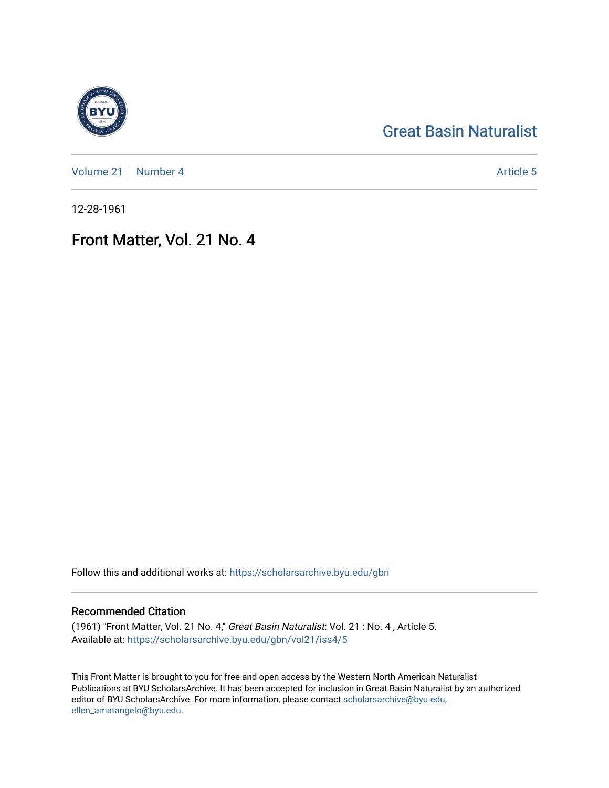## [Great Basin Naturalist](https://scholarsarchive.byu.edu/gbn)

[Volume 21](https://scholarsarchive.byu.edu/gbn/vol21) [Number 4](https://scholarsarchive.byu.edu/gbn/vol21/iss4) Article 5

12-28-1961

## Front Matter, Vol. 21 No. 4

Follow this and additional works at: [https://scholarsarchive.byu.edu/gbn](https://scholarsarchive.byu.edu/gbn?utm_source=scholarsarchive.byu.edu%2Fgbn%2Fvol21%2Fiss4%2F5&utm_medium=PDF&utm_campaign=PDFCoverPages) 

### Recommended Citation

(1961) "Front Matter, Vol. 21 No. 4," Great Basin Naturalist: Vol. 21 : No. 4 , Article 5. Available at: [https://scholarsarchive.byu.edu/gbn/vol21/iss4/5](https://scholarsarchive.byu.edu/gbn/vol21/iss4/5?utm_source=scholarsarchive.byu.edu%2Fgbn%2Fvol21%2Fiss4%2F5&utm_medium=PDF&utm_campaign=PDFCoverPages)

This Front Matter is brought to you for free and open access by the Western North American Naturalist Publications at BYU ScholarsArchive. It has been accepted for inclusion in Great Basin Naturalist by an authorized editor of BYU ScholarsArchive. For more information, please contact [scholarsarchive@byu.edu,](mailto:scholarsarchive@byu.edu,%20ellen_amatangelo@byu.edu) [ellen\\_amatangelo@byu.edu](mailto:scholarsarchive@byu.edu,%20ellen_amatangelo@byu.edu).

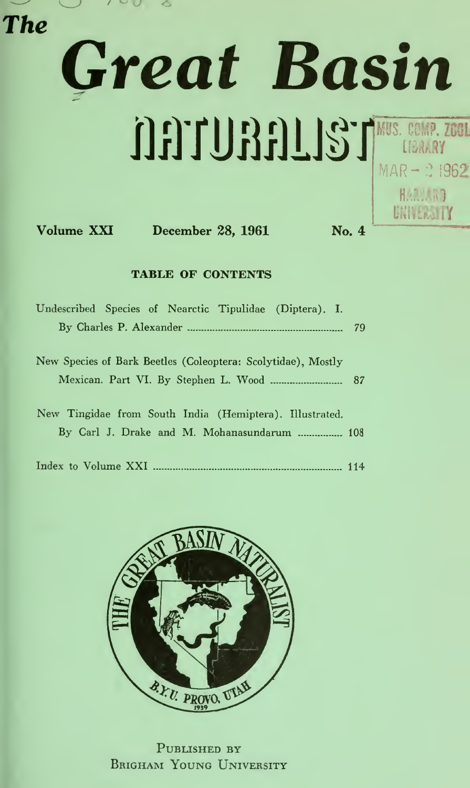

# Great Basin MUS. COMP. ZOOL MAR- 21962

yHiVERSIIY

**RACIDED** 

Volume XXI December 28, 1961 No. 4

#### TABLE OF CONTENTS

| Undescribed Species of Nearctic Tipulidae (Diptera). I.      |  |  |  |  |  |  |  |  |
|--------------------------------------------------------------|--|--|--|--|--|--|--|--|
| New Species of Bark Beetles (Coleoptera: Scolytidae), Mostly |  |  |  |  |  |  |  |  |
| Mexican. Part VI. By Stephen L. Wood  87                     |  |  |  |  |  |  |  |  |
| New Tingidae from South India (Hemiptera). Illustrated.      |  |  |  |  |  |  |  |  |
| By Carl J. Drake and M. Mohanasundarum  108                  |  |  |  |  |  |  |  |  |
|                                                              |  |  |  |  |  |  |  |  |



PUBLISHED BY BRIGHAM YOUNG UNIVERSITY